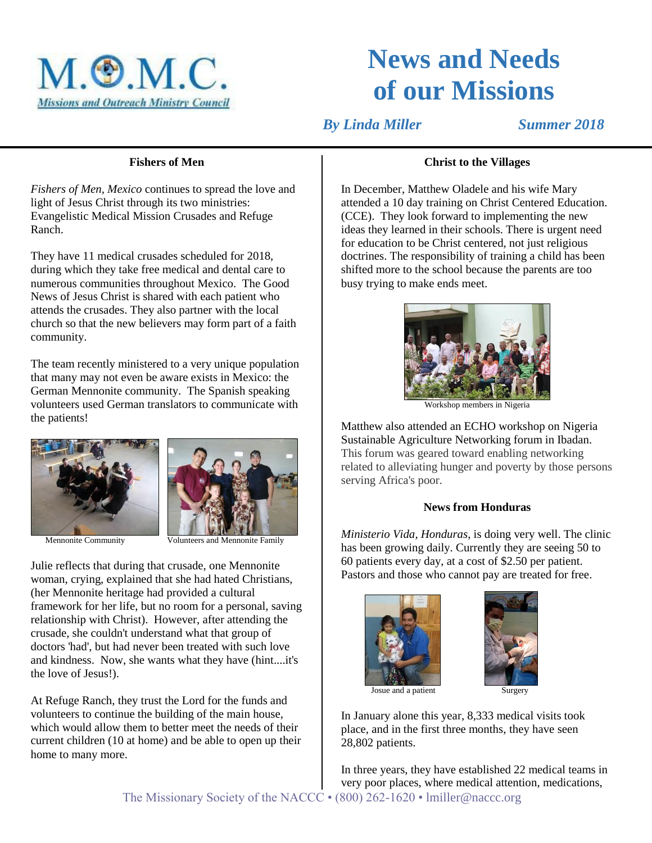

# **News and Needs of our Missions**

*By Linda Miller* Summer 2018

## **Fishers of Men**

*Fishers of Men, Mexico* continues to spread the love and light of Jesus Christ through its two ministries: Evangelistic Medical Mission Crusades and Refuge Ranch.

They have 11 medical crusades scheduled for 2018, during which they take free medical and dental care to numerous communities throughout Mexico. The Good News of Jesus Christ is shared with each patient who attends the crusades. They also partner with the local church so that the new believers may form part of a faith community.

The team recently ministered to a very unique population that many may not even be aware exists in Mexico: the German Mennonite community. The Spanish speaking volunteers used German translators to communicate with the patients!





Mennonite Community **Volunteers** and Mennonite Family

Julie reflects that during that crusade, one Mennonite woman, crying, explained that she had hated Christians, (her Mennonite heritage had provided a cultural framework for her life, but no room for a personal, saving relationship with Christ). However, after attending the crusade, she couldn't understand what that group of doctors 'had', but had never been treated with such love and kindness. Now, she wants what they have (hint....it's the love of Jesus!).

At Refuge Ranch, they trust the Lord for the funds and volunteers to continue the building of the main house, which would allow them to better meet the needs of their current children (10 at home) and be able to open up their home to many more.

## **Christ to the Villages**

In December, Matthew Oladele and his wife Mary attended a 10 day training on Christ Centered Education. (CCE). They look forward to implementing the new ideas they learned in their schools. There is urgent need for education to be Christ centered, not just religious doctrines. The responsibility of training a child has been shifted more to the school because the parents are too busy trying to make ends meet.



Workshop members in Nigeria

Matthew also attended an ECHO workshop on Nigeria Sustainable Agriculture Networking forum in Ibadan. This forum was geared toward enabling networking related to alleviating hunger and poverty by those persons serving Africa's poor.

#### **News from Honduras**

*Ministerio Vida, Honduras*, is doing very well. The clinic has been growing daily. Currently they are seeing 50 to 60 patients every day, at a cost of \$2.50 per patient. Pastors and those who cannot pay are treated for free.





In January alone this year, 8,333 medical visits took place, and in the first three months, they have seen 28,802 patients.

The Missionary Society of the NACCC • (800) 262-1620 • lmiller@naccc.org In three years, they have established 22 medical teams in very poor places, where medical attention, medications,